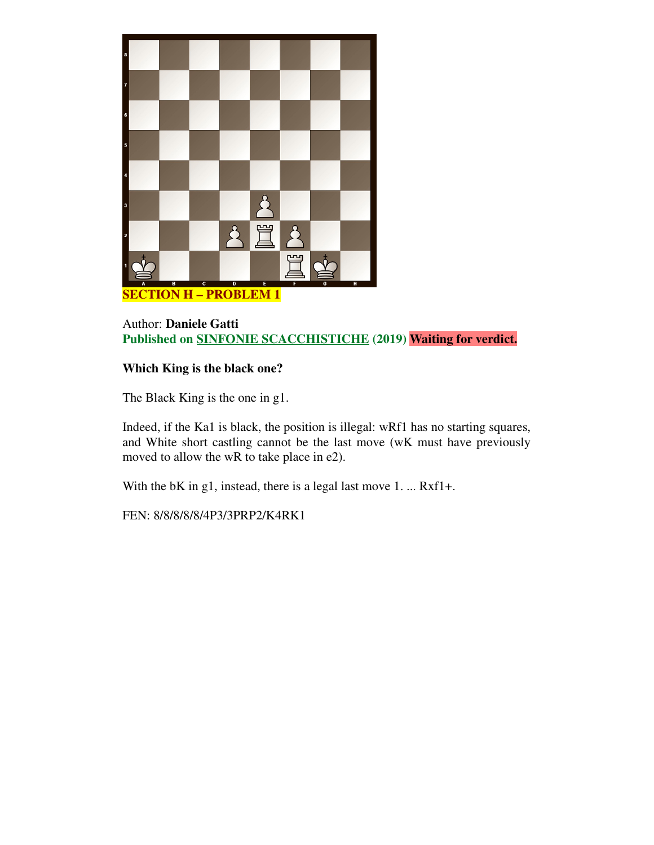

# Author: **Daniele Gatti Published on SINFONIE SCACCHISTICHE (2019) Waiting for verdict.**

# **Which King is the black one?**

The Black King is the one in g1.

Indeed, if the Ka1 is black, the position is illegal: wRf1 has no starting squares, and White short castling cannot be the last move (wK must have previously moved to allow the wR to take place in e2).

With the bK in g1, instead, there is a legal last move 1. ... Rxf1+.

FEN: 8/8/8/8/8/4P3/3PRP2/K4RK1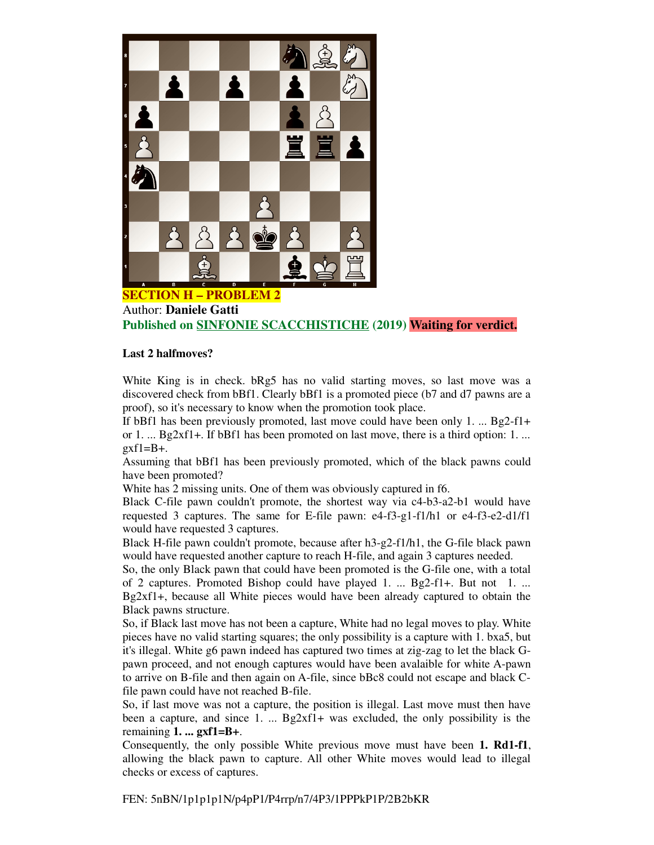

Author: **Daniele Gatti Published on SINFONIE SCACCHISTICHE (2019) Waiting for verdict.**

#### **Last 2 halfmoves?**

White King is in check. bRg5 has no valid starting moves, so last move was a discovered check from bBf1. Clearly bBf1 is a promoted piece (b7 and d7 pawns are a proof), so it's necessary to know when the promotion took place.

If bBf1 has been previously promoted, last move could have been only 1. ... Bg2-f1+ or 1. ... Bg2xf1+. If bBf1 has been promoted on last move, there is a third option: 1. ...  $exf1=B+$ .

Assuming that bBf1 has been previously promoted, which of the black pawns could have been promoted?

White has 2 missing units. One of them was obviously captured in f6.

Black C-file pawn couldn't promote, the shortest way via c4-b3-a2-b1 would have requested 3 captures. The same for E-file pawn: e4-f3-g1-f1/h1 or e4-f3-e2-d1/f1 would have requested 3 captures.

Black H-file pawn couldn't promote, because after h3-g2-f1/h1, the G-file black pawn would have requested another capture to reach H-file, and again 3 captures needed.

So, the only Black pawn that could have been promoted is the G-file one, with a total of 2 captures. Promoted Bishop could have played 1. ... Bg2-f1+. But not 1. ... Bg2xf1+, because all White pieces would have been already captured to obtain the Black pawns structure.

So, if Black last move has not been a capture, White had no legal moves to play. White pieces have no valid starting squares; the only possibility is a capture with 1. bxa5, but it's illegal. White g6 pawn indeed has captured two times at zig-zag to let the black Gpawn proceed, and not enough captures would have been avalaible for white A-pawn to arrive on B-file and then again on A-file, since bBc8 could not escape and black Cfile pawn could have not reached B-file.

So, if last move was not a capture, the position is illegal. Last move must then have been a capture, and since 1. ...  $\text{Bg2xf1+}$  was excluded, the only possibility is the remaining **1. ... gxf1=B+**.

Consequently, the only possible White previous move must have been **1. Rd1-f1**, allowing the black pawn to capture. All other White moves would lead to illegal checks or excess of captures.

FEN: 5nBN/1p1p1p1N/p4pP1/P4rrp/n7/4P3/1PPPkP1P/2B2bKR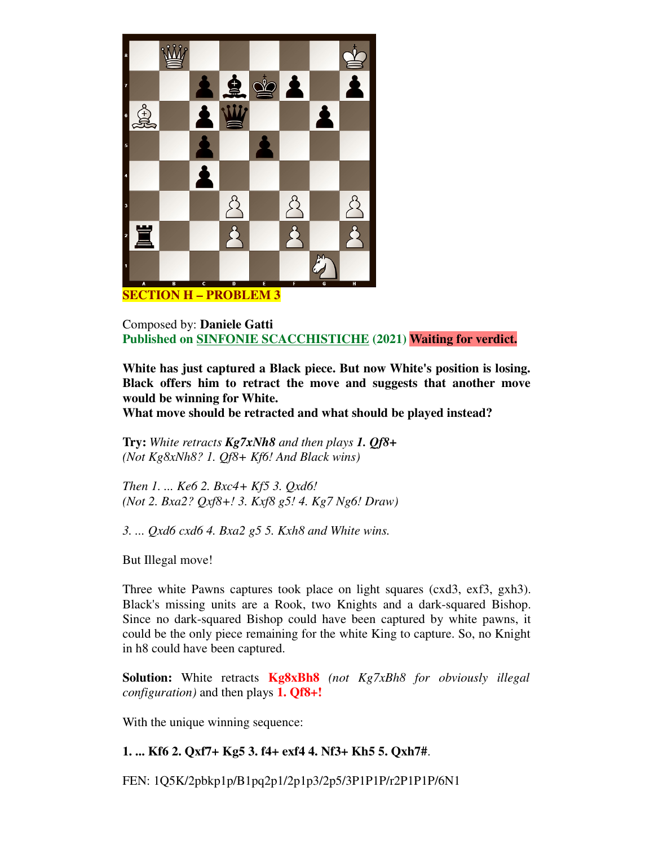

Composed by: **Daniele Gatti Published on SINFONIE SCACCHISTICHE (2021) Waiting for verdict.**

**White has just captured a Black piece. But now White's position is losing. Black offers him to retract the move and suggests that another move would be winning for White.**

**What move should be retracted and what should be played instead?**

**Try:** *White retracts Kg7xNh8 and then plays 1. Qf8+ (Not Kg8xNh8? 1. Qf8+ Kf6! And Black wins)*

*Then 1. ... Ke6 2. Bxc4+ Kf5 3. Qxd6! (Not 2. Bxa2? Qxf8+! 3. Kxf8 g5! 4. Kg7 Ng6! Draw)*

*3. ... Qxd6 cxd6 4. Bxa2 g5 5. Kxh8 and White wins.* 

But Illegal move!

Three white Pawns captures took place on light squares (cxd3, exf3, gxh3). Black's missing units are a Rook, two Knights and a dark-squared Bishop. Since no dark-squared Bishop could have been captured by white pawns, it could be the only piece remaining for the white King to capture. So, no Knight in h8 could have been captured.

**Solution:** White retracts **Kg8xBh8** *(not Kg7xBh8 for obviously illegal configuration)* and then plays **1. Qf8+!**

With the unique winning sequence:

### **1. ... Kf6 2. Qxf7+ Kg5 3. f4+ exf4 4. Nf3+ Kh5 5. Qxh7#**.

FEN: 1Q5K/2pbkp1p/B1pq2p1/2p1p3/2p5/3P1P1P/r2P1P1P/6N1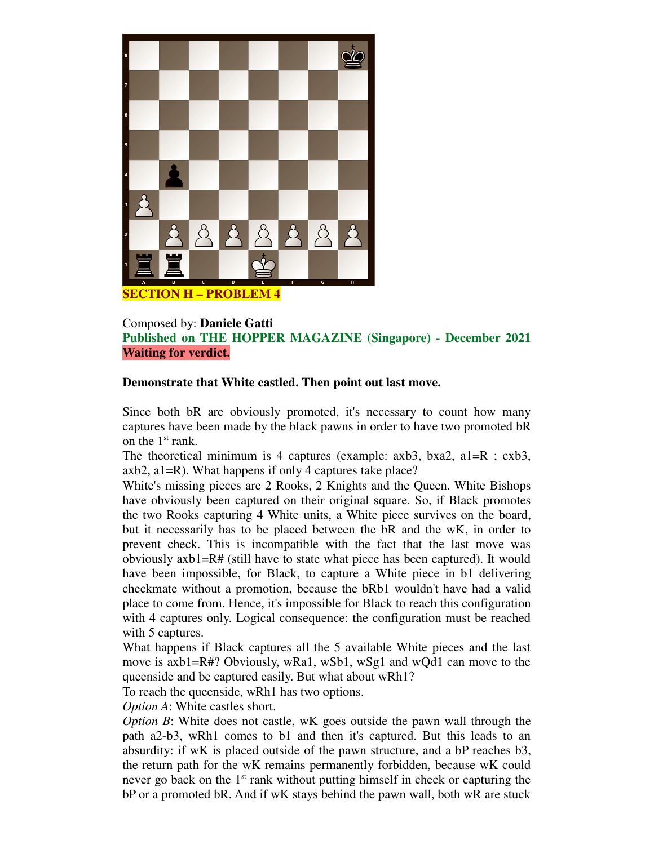

### Composed by: **Daniele Gatti Published on THE HOPPER MAGAZINE (Singapore) - December 2021 Waiting for verdict.**

### **Demonstrate that White castled. Then point out last move.**

Since both bR are obviously promoted, it's necessary to count how many captures have been made by the black pawns in order to have two promoted bR on the  $1<sup>st</sup>$  rank.

The theoretical minimum is 4 captures (example: axb3, bxa2, a1=R; cxb3, axb2, a1=R). What happens if only 4 captures take place?

White's missing pieces are 2 Rooks, 2 Knights and the Queen. White Bishops have obviously been captured on their original square. So, if Black promotes the two Rooks capturing 4 White units, a White piece survives on the board, but it necessarily has to be placed between the bR and the wK, in order to prevent check. This is incompatible with the fact that the last move was obviously  $axb1=R#$  (still have to state what piece has been captured). It would have been impossible, for Black, to capture a White piece in b1 delivering checkmate without a promotion, because the bRb1 wouldn't have had a valid place to come from. Hence, it's impossible for Black to reach this configuration with 4 captures only. Logical consequence: the configuration must be reached with 5 captures.

What happens if Black captures all the 5 available White pieces and the last move is axb1=R#? Obviously, wRa1, wSb1, wSg1 and wQd1 can move to the queenside and be captured easily. But what about wRh1?

To reach the queenside, wRh1 has two options.

*Option A*: White castles short.

*Option B*: White does not castle, wK goes outside the pawn wall through the path a2-b3, wRh1 comes to b1 and then it's captured. But this leads to an absurdity: if wK is placed outside of the pawn structure, and a bP reaches b3, the return path for the wK remains permanently forbidden, because wK could never go back on the  $1<sup>st</sup>$  rank without putting himself in check or capturing the bP or a promoted bR. And if wK stays behind the pawn wall, both wR are stuck